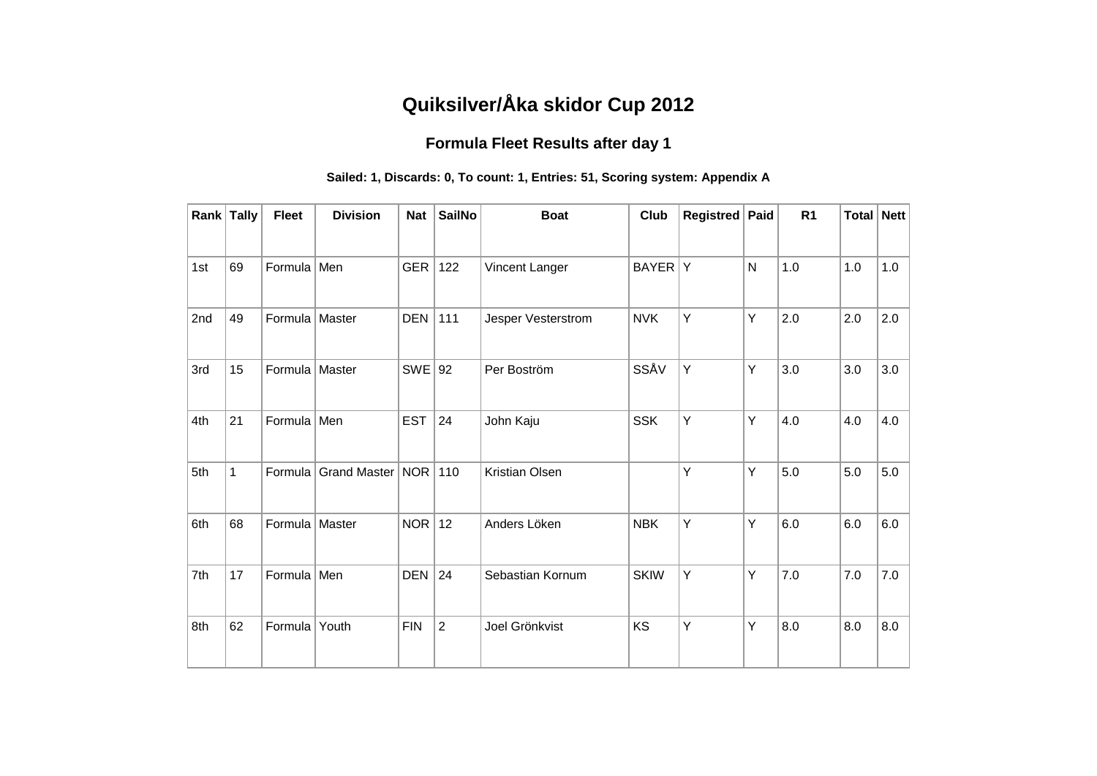## **Quiksilver/Åka skidor Cup 2012**

## **Formula Fleet Results after day 1**

## **Sailed: 1, Discards: 0, To count: 1, Entries: 51, Scoring system: Appendix A**

|     | Rank Tally | <b>Fleet</b>     | <b>Division</b>      | <b>Nat</b> | <b>SailNo</b>  | <b>Boat</b>        | <b>Club</b> | Registred   Paid |              | R <sub>1</sub> | <b>Total Nett</b> |     |
|-----|------------|------------------|----------------------|------------|----------------|--------------------|-------------|------------------|--------------|----------------|-------------------|-----|
|     |            |                  |                      |            |                |                    |             |                  |              |                |                   |     |
| 1st | 69         | Formula Men      |                      | GER        | 122            | Vincent Langer     | BAYER Y     |                  | $\mathsf{N}$ | 1.0            | 1.0               | 1.0 |
| 2nd | 49         | Formula Master   |                      | <b>DEN</b> | 111            | Jesper Vesterstrom | <b>NVK</b>  | Υ                | Υ            | 2.0            | 2.0               | 2.0 |
| 3rd | 15         | Formula   Master |                      | $SWE$ 92   |                | Per Boström        | SSÅV        | Y                | Υ            | 3.0            | 3.0               | 3.0 |
| 4th | 21         | Formula Men      |                      | <b>EST</b> | 24             | John Kaju          | <b>SSK</b>  | Y                | Υ            | 4.0            | 4.0               | 4.0 |
| 5th | 1          |                  | Formula Grand Master | NOR        | 110            | Kristian Olsen     |             | Y                | Υ            | 5.0            | 5.0               | 5.0 |
| 6th | 68         | Formula   Master |                      | $NOR$   12 |                | Anders Löken       | <b>NBK</b>  | Y                | Υ            | 6.0            | 6.0               | 6.0 |
| 7th | 17         | Formula Men      |                      | <b>DEN</b> | 24             | Sebastian Kornum   | <b>SKIW</b> | Y                | Υ            | 7.0            | 7.0               | 7.0 |
| 8th | 62         | Formula Youth    |                      | <b>FIN</b> | $\overline{2}$ | Joel Grönkvist     | KS          | Y                | Υ            | 8.0            | 8.0               | 8.0 |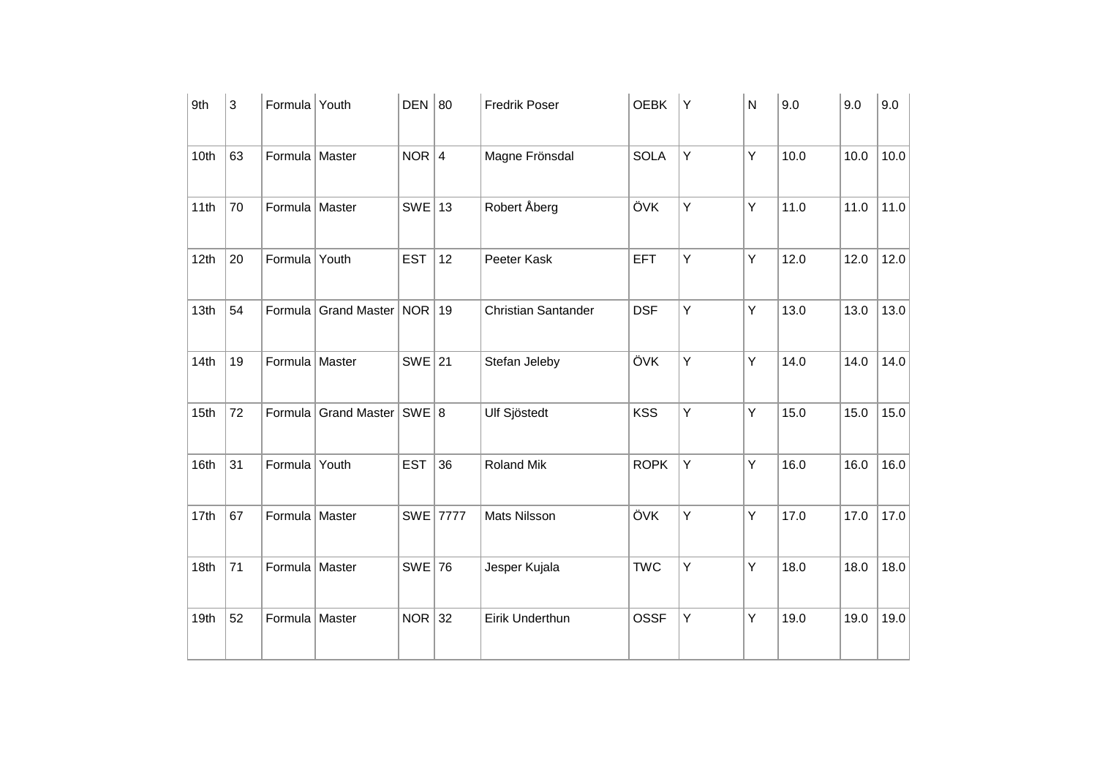| 9th              | 3  | Formula Youth    |                                 | DEN 80     |          | <b>Fredrik Poser</b>       | <b>OEBK</b> | Y | N | 9.0  | 9.0  | 9.0  |
|------------------|----|------------------|---------------------------------|------------|----------|----------------------------|-------------|---|---|------|------|------|
| 10th             | 63 | Formula   Master |                                 | $NOR$ 4    |          | Magne Frönsdal             | <b>SOLA</b> | Y | Υ | 10.0 | 10.0 | 10.0 |
| 11th             | 70 | Formula Master   |                                 | $SWE$ 13   |          | Robert Åberg               | ÖVK         | Y | Υ | 11.0 | 11.0 | 11.0 |
| 12th             | 20 | Formula Youth    |                                 | <b>EST</b> | 12       | Peeter Kask                | <b>EFT</b>  | Y | Υ | 12.0 | 12.0 | 12.0 |
| 13 <sub>th</sub> | 54 |                  | Formula Grand Master   NOR   19 |            |          | <b>Christian Santander</b> | <b>DSF</b>  | Y | Υ | 13.0 | 13.0 | 13.0 |
| 14th             | 19 | Formula Master   |                                 | $SWE$ 21   |          | Stefan Jeleby              | ÖVK         | Y | Υ | 14.0 | 14.0 | 14.0 |
| 15th             | 72 |                  | Formula Grand Master   SWE 8    |            |          | <b>Ulf Sjöstedt</b>        | <b>KSS</b>  | Y | Υ | 15.0 | 15.0 | 15.0 |
| 16th             | 31 | Formula Youth    |                                 | <b>EST</b> | 36       | Roland Mik                 | <b>ROPK</b> | Y | Υ | 16.0 | 16.0 | 16.0 |
| 17th             | 67 | Formula   Master |                                 |            | SWE 7777 | Mats Nilsson               | ÖVK         | Y | Υ | 17.0 | 17.0 | 17.0 |
| 18th             | 71 | Formula   Master |                                 | $SWE$ 76   |          | Jesper Kujala              | <b>TWC</b>  | Y | Υ | 18.0 | 18.0 | 18.0 |
| 19th             | 52 | Formula Master   |                                 | $NOR$ 32   |          | Eirik Underthun            | <b>OSSF</b> | Y | Υ | 19.0 | 19.0 | 19.0 |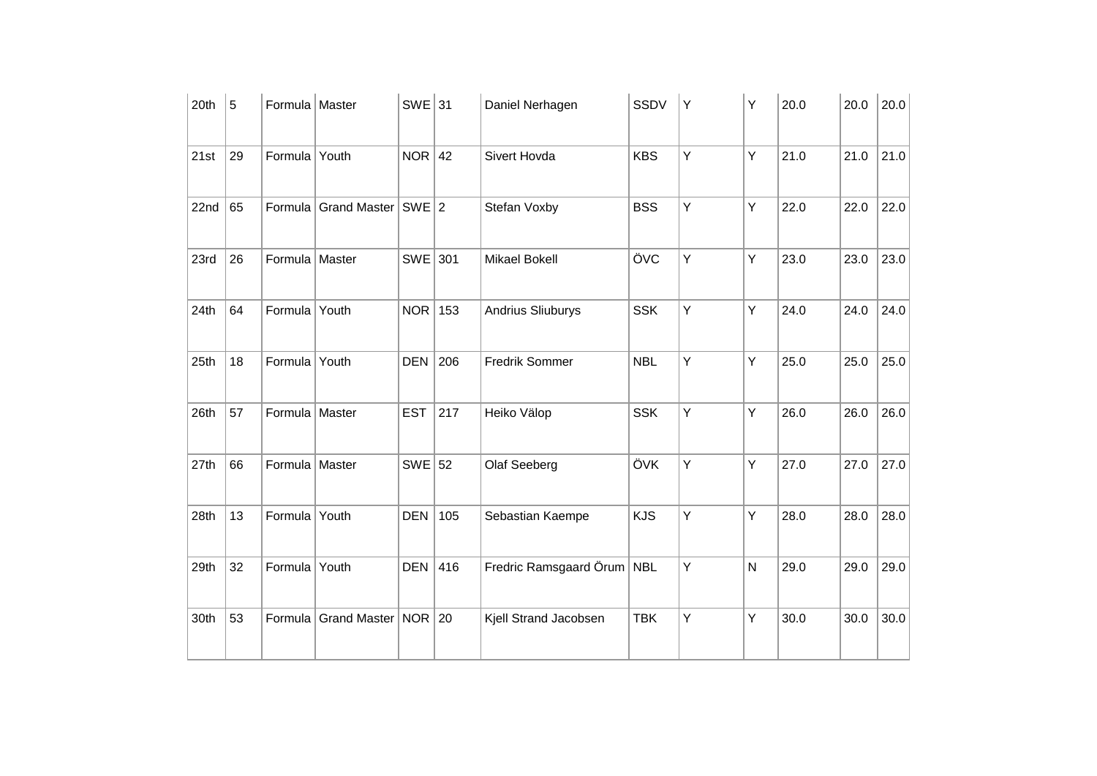| 20th | 5  | Formula Master   |                             | $SWE$ 31   |     | Daniel Nerhagen            | SSDV       | Υ | Υ | 20.0 | 20.0 | 20.0 |
|------|----|------------------|-----------------------------|------------|-----|----------------------------|------------|---|---|------|------|------|
| 21st | 29 | Formula Youth    |                             | $NOR$ 42   |     | Sivert Hovda               | <b>KBS</b> | Υ | Υ | 21.0 | 21.0 | 21.0 |
| 22nd | 65 |                  | Formula Grand Master SWE 2  |            |     | Stefan Voxby               | <b>BSS</b> | Υ | Υ | 22.0 | 22.0 | 22.0 |
| 23rd | 26 | Formula   Master |                             | $SWE$ 301  |     | Mikael Bokell              | ÖVC        | Υ | Y | 23.0 | 23.0 | 23.0 |
| 24th | 64 | Formula Youth    |                             | <b>NOR</b> | 153 | <b>Andrius Sliuburys</b>   | <b>SSK</b> | Υ | Y | 24.0 | 24.0 | 24.0 |
| 25th | 18 | Formula Youth    |                             | <b>DEN</b> | 206 | Fredrik Sommer             | <b>NBL</b> | Y | Υ | 25.0 | 25.0 | 25.0 |
| 26th | 57 | Formula Master   |                             | <b>EST</b> | 217 | Heiko Välop                | <b>SSK</b> | Υ | Y | 26.0 | 26.0 | 26.0 |
| 27th | 66 | Formula Master   |                             | $SWE$ 52   |     | Olaf Seeberg               | ÖVK        | Υ | Υ | 27.0 | 27.0 | 27.0 |
| 28th | 13 | Formula Youth    |                             | <b>DEN</b> | 105 | Sebastian Kaempe           | <b>KJS</b> | Υ | Y | 28.0 | 28.0 | 28.0 |
| 29th | 32 | Formula Youth    |                             | <b>DEN</b> | 416 | Fredric Ramsgaard Örum NBL |            | Υ | N | 29.0 | 29.0 | 29.0 |
| 30th | 53 |                  | Formula Grand Master NOR 20 |            |     | Kjell Strand Jacobsen      | <b>TBK</b> | Υ | Υ | 30.0 | 30.0 | 30.0 |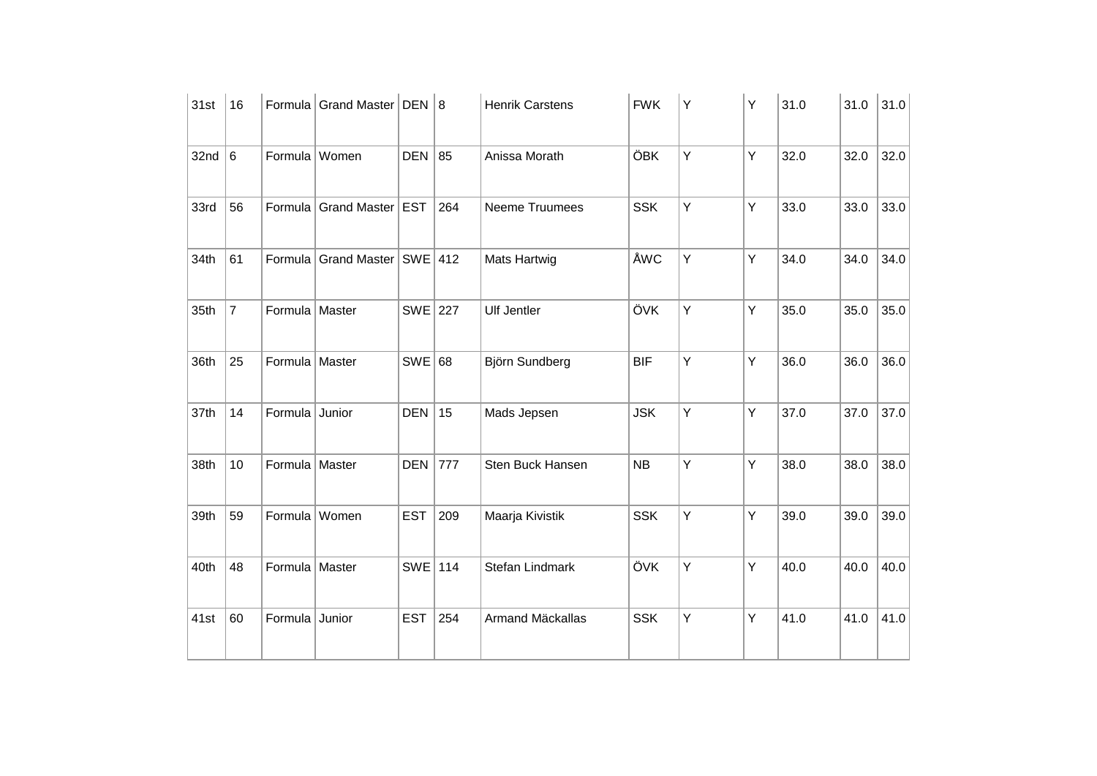| 31st | 16             |                  | Formula Grand Master   DEN   8   |            |     | <b>Henrik Carstens</b> | <b>FWK</b> | Υ | Υ | 31.0 | 31.0 | 31.0 |
|------|----------------|------------------|----------------------------------|------------|-----|------------------------|------------|---|---|------|------|------|
| 32nd | $\,6\,$        |                  | Formula Women                    | DEN 85     |     | Anissa Morath          | ÖBK        | Y | Υ | 32.0 | 32.0 | 32.0 |
| 33rd | 56             |                  | Formula Grand Master             | <b>EST</b> | 264 | Neeme Truumees         | <b>SSK</b> | Y | Y | 33.0 | 33.0 | 33.0 |
| 34th | 61             |                  | Formula Grand Master   SWE   412 |            |     | <b>Mats Hartwig</b>    | ÅWC        | Y | Y | 34.0 | 34.0 | 34.0 |
| 35th | $\overline{7}$ | Formula Master   |                                  | SWE 227    |     | <b>Ulf Jentler</b>     | ÖVK        | Υ | Y | 35.0 | 35.0 | 35.0 |
| 36th | 25             | Formula Master   |                                  | SWE 68     |     | Björn Sundberg         | <b>BIF</b> | Y | Y | 36.0 | 36.0 | 36.0 |
| 37th | 14             | Formula Junior   |                                  | <b>DEN</b> | 15  | Mads Jepsen            | <b>JSK</b> | Y | Υ | 37.0 | 37.0 | 37.0 |
| 38th | 10             | Formula Master   |                                  | <b>DEN</b> | 777 | Sten Buck Hansen       | NB         | Y | Y | 38.0 | 38.0 | 38.0 |
| 39th | 59             | Formula Women    |                                  | <b>EST</b> | 209 | Maarja Kivistik        | <b>SSK</b> | Υ | Y | 39.0 | 39.0 | 39.0 |
| 40th | 48             | Formula   Master |                                  | SWE 114    |     | Stefan Lindmark        | ÖVK        | Y | Y | 40.0 | 40.0 | 40.0 |
| 41st | 60             | Formula Junior   |                                  | <b>EST</b> | 254 | Armand Mäckallas       | <b>SSK</b> | Υ | Y | 41.0 | 41.0 | 41.0 |